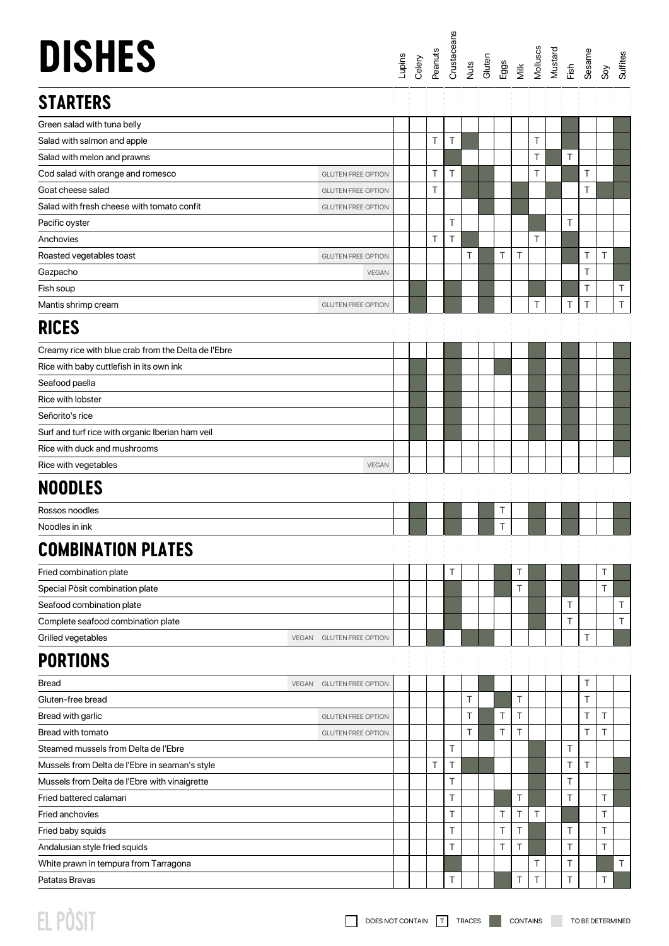| <b>DISHES</b>                                       |                           |  |   | Lupins<br>Celery<br>Peanuts<br>Crustaceans<br>Cutts Eggs<br>Milluscs<br>Mustard<br>Mustard<br>Mustard<br>Mustard |   |        |   |        |   |   | $\delta$ | <b>Sulfites</b> |
|-----------------------------------------------------|---------------------------|--|---|------------------------------------------------------------------------------------------------------------------|---|--------|---|--------|---|---|----------|-----------------|
| <b>STARTERS</b>                                     |                           |  |   |                                                                                                                  |   |        |   |        |   |   |          |                 |
| Green salad with tuna belly                         |                           |  |   |                                                                                                                  |   |        |   |        |   |   |          |                 |
| Salad with salmon and apple                         |                           |  | T | T                                                                                                                |   |        |   | Τ      |   |   |          |                 |
| Salad with melon and prawns                         |                           |  |   |                                                                                                                  |   |        |   | T      | Τ |   |          |                 |
| Cod salad with orange and romesco                   | <b>GLUTEN FREE OPTION</b> |  | Τ | T                                                                                                                |   |        |   | Τ      |   | T |          |                 |
| Goat cheese salad                                   | <b>GLUTEN FREE OPTION</b> |  | Τ |                                                                                                                  |   |        |   |        |   | Τ |          |                 |
| Salad with fresh cheese with tomato confit          | <b>GLUTEN FREE OPTION</b> |  |   |                                                                                                                  |   |        |   |        |   |   |          |                 |
| Pacific oyster                                      |                           |  |   | T                                                                                                                |   |        |   |        | Т |   |          |                 |
| Anchovies                                           |                           |  | T | Τ                                                                                                                |   |        |   | $\top$ |   |   |          |                 |
| Roasted vegetables toast                            | <b>GLUTEN FREE OPTION</b> |  |   |                                                                                                                  | Τ | T      | Τ |        |   | Τ | Τ        |                 |
| Gazpacho                                            | <b>VEGAN</b>              |  |   |                                                                                                                  |   |        |   |        |   | Τ |          |                 |
| Fish soup                                           |                           |  |   |                                                                                                                  |   |        |   |        |   | T |          | $\top$          |
| Mantis shrimp cream                                 | <b>GLUTEN FREE OPTION</b> |  |   |                                                                                                                  |   |        |   | Τ      | Τ | Τ |          | $\top$          |
| <b>RICES</b>                                        |                           |  |   |                                                                                                                  |   |        |   |        |   |   |          |                 |
| Creamy rice with blue crab from the Delta de l'Ebre |                           |  |   |                                                                                                                  |   |        |   |        |   |   |          |                 |
| Rice with baby cuttlefish in its own ink            |                           |  |   |                                                                                                                  |   |        |   |        |   |   |          |                 |
| Seafood paella                                      |                           |  |   |                                                                                                                  |   |        |   |        |   |   |          |                 |
| Rice with lobster                                   |                           |  |   |                                                                                                                  |   |        |   |        |   |   |          |                 |
| Señorito's rice                                     |                           |  |   |                                                                                                                  |   |        |   |        |   |   |          |                 |
| Surf and turf rice with organic Iberian ham veil    |                           |  |   |                                                                                                                  |   |        |   |        |   |   |          |                 |
| Rice with duck and mushrooms                        |                           |  |   |                                                                                                                  |   |        |   |        |   |   |          |                 |
| Rice with vegetables                                | <b>VEGAN</b>              |  |   |                                                                                                                  |   |        |   |        |   |   |          |                 |
| <b>NOODLES</b>                                      |                           |  |   |                                                                                                                  |   |        |   |        |   |   |          |                 |
| Rossos noodles                                      |                           |  |   |                                                                                                                  |   | Τ      |   |        |   |   |          |                 |
| Noodles in ink                                      |                           |  |   |                                                                                                                  |   | T      |   |        |   |   |          |                 |
| <b>COMBINATION PLATES</b>                           |                           |  |   |                                                                                                                  |   |        |   |        |   |   |          |                 |
| Fried combination plate                             |                           |  |   | Τ                                                                                                                |   |        | Τ |        |   |   | Τ        |                 |
| Special Pòsit combination plate                     |                           |  |   |                                                                                                                  |   |        | Τ |        |   |   | T        |                 |
| Seafood combination plate                           |                           |  |   |                                                                                                                  |   |        |   |        | Τ |   |          | $\top$          |
| Complete seafood combination plate                  |                           |  |   |                                                                                                                  |   |        |   |        | Т |   |          | $\top$          |
| Grilled vegetables<br>VEGAN                         | <b>GLUTEN FREE OPTION</b> |  |   |                                                                                                                  |   |        |   |        |   | T |          |                 |
| <b>PORTIONS</b>                                     |                           |  |   |                                                                                                                  |   |        |   |        |   |   |          |                 |
| <b>Bread</b><br><b>VEGAN</b>                        | <b>GLUTEN FREE OPTION</b> |  |   |                                                                                                                  |   |        |   |        |   | Τ |          |                 |
| Gluten-free bread                                   |                           |  |   |                                                                                                                  | T |        | Τ |        |   | Τ |          |                 |
| Bread with garlic                                   | <b>GLUTEN FREE OPTION</b> |  |   |                                                                                                                  | Τ | Τ      | Τ |        |   | Τ | Τ        |                 |
| Bread with tomato                                   | <b>GLUTEN FREE OPTION</b> |  |   |                                                                                                                  | Τ | Τ      | Τ |        |   | Τ | Τ        |                 |
| Steamed mussels from Delta de l'Ebre                |                           |  |   | Τ                                                                                                                |   |        |   |        | Τ |   |          |                 |
| Mussels from Delta de l'Ebre in seaman's style      |                           |  | Т | Τ                                                                                                                |   |        |   |        | Τ | T |          |                 |
| Mussels from Delta de l'Ebre with vinaigrette       |                           |  |   | Τ                                                                                                                |   |        |   |        | Τ |   |          |                 |
| Fried battered calamari                             |                           |  |   | T                                                                                                                |   |        | Τ |        | T |   | Τ        |                 |
| Fried anchovies                                     |                           |  |   | Τ                                                                                                                |   | Т      | Τ | Τ      |   |   | T        |                 |
| Fried baby squids                                   |                           |  |   | Τ                                                                                                                |   | $\top$ | Τ |        | Τ |   | T        |                 |
| Andalusian style fried squids                       |                           |  |   | T                                                                                                                |   | Т      | Τ |        | Τ |   | T        |                 |
| White prawn in tempura from Tarragona               |                           |  |   |                                                                                                                  |   |        |   | Τ      | Τ |   |          | $\top$          |
| Patatas Bravas                                      |                           |  |   | T                                                                                                                |   |        | Τ | Τ      | T |   | T        |                 |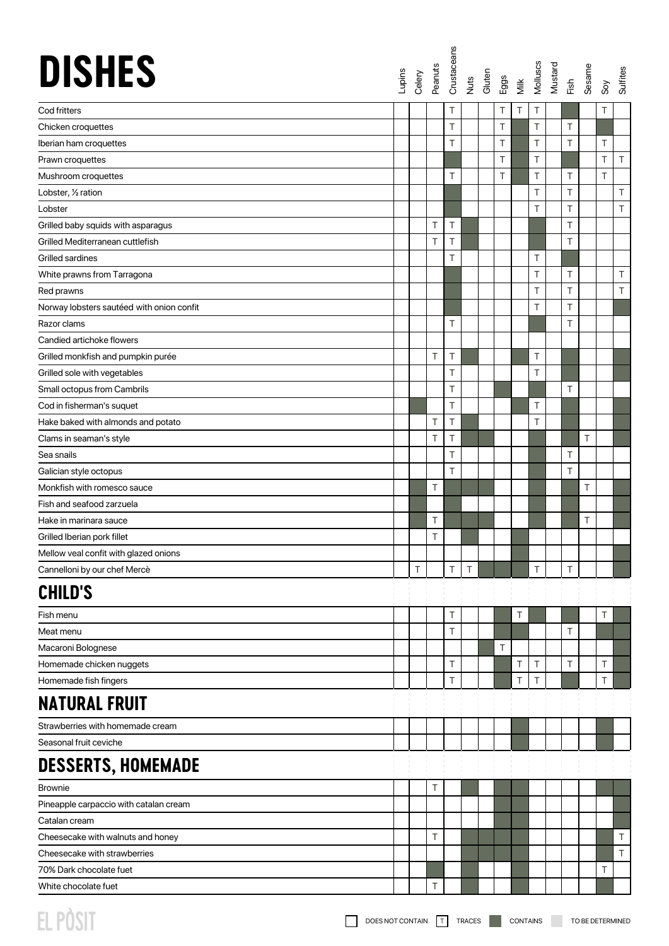| <b>DISHES</b>                             |   |   |   |   |   | Lupins<br>Celery<br>Peanuts<br>Crustaceans<br>Cutten<br>Gigs<br>Eggs |   | Molluscs<br>Mustard<br>Fish<br>Sesame |   | Soy    | Sulfites |
|-------------------------------------------|---|---|---|---|---|----------------------------------------------------------------------|---|---------------------------------------|---|--------|----------|
| Cod fritters                              |   |   | T |   | Τ | Τ                                                                    | Τ |                                       |   | T      |          |
| Chicken croquettes                        |   |   | T |   | T |                                                                      | T | T                                     |   |        |          |
| Iberian ham croquettes                    |   |   | T |   | T |                                                                      | T | T                                     |   | T      |          |
| Prawn croquettes                          |   |   |   |   | Τ |                                                                      | Τ |                                       |   | Τ      | $\top$   |
| Mushroom croquettes                       |   |   | T |   | T |                                                                      | T | T                                     |   | $\top$ |          |
| Lobster, 1/2 ration                       |   |   |   |   |   |                                                                      | Τ | Τ                                     |   |        | $\top$   |
| Lobster                                   |   |   |   |   |   |                                                                      | Τ | Τ                                     |   |        | T        |
| Grilled baby squids with asparagus        |   | Τ | T |   |   |                                                                      |   | Τ                                     |   |        |          |
| Grilled Mediterranean cuttlefish          |   | T | T |   |   |                                                                      |   | Τ                                     |   |        |          |
| Grilled sardines                          |   |   | T |   |   |                                                                      | Τ |                                       |   |        |          |
| White prawns from Tarragona               |   |   |   |   |   |                                                                      | Τ | Τ                                     |   |        | $\top$   |
| Red prawns                                |   |   |   |   |   |                                                                      | Τ | T                                     |   |        | T        |
| Norway lobsters sautéed with onion confit |   |   |   |   |   |                                                                      | Τ | T                                     |   |        |          |
| Razor clams                               |   |   | Τ |   |   |                                                                      |   | Τ                                     |   |        |          |
| Candied artichoke flowers                 |   |   |   |   |   |                                                                      |   |                                       |   |        |          |
| Grilled monkfish and pumpkin purée        |   | T | T |   |   |                                                                      | T |                                       |   |        |          |
| Grilled sole with vegetables              |   |   | T |   |   |                                                                      | T |                                       |   |        |          |
| Small octopus from Cambrils               |   |   | T |   |   |                                                                      |   | Τ                                     |   |        |          |
| Cod in fisherman's suquet                 |   |   | Τ |   |   |                                                                      | T |                                       |   |        |          |
| Hake baked with almonds and potato        |   | T | T |   |   |                                                                      | Τ |                                       |   |        |          |
| Clams in seaman's style                   |   | T | T |   |   |                                                                      |   |                                       | T |        |          |
| Sea snails                                |   |   | T |   |   |                                                                      |   | Τ                                     |   |        |          |
| Galician style octopus                    |   |   | T |   |   |                                                                      |   | T                                     |   |        |          |
| Monkfish with romesco sauce               |   | T |   |   |   |                                                                      |   |                                       | T |        |          |
| Fish and seafood zarzuela                 |   |   |   |   |   |                                                                      |   |                                       |   |        |          |
| Hake in marinara sauce                    |   | T |   |   |   |                                                                      |   |                                       | T |        |          |
| Grilled Iberian pork fillet               |   | T |   |   |   |                                                                      |   |                                       |   |        |          |
| Mellow veal confit with glazed onions     |   |   |   |   |   |                                                                      |   |                                       |   |        |          |
| Cannelloni by our chef Mercè              | Τ |   | Τ | Τ |   |                                                                      | т | Τ                                     |   |        |          |
| <b>CHILD'S</b>                            |   |   |   |   |   |                                                                      |   |                                       |   |        |          |
| Fish menu                                 |   |   | Τ |   |   | Τ                                                                    |   |                                       |   | Τ      |          |
| Meat menu                                 |   |   | T |   |   |                                                                      |   | Τ                                     |   |        |          |
| Macaroni Bolognese                        |   |   |   |   | T |                                                                      |   |                                       |   |        |          |
| Homemade chicken nuggets                  |   |   | Τ |   |   | Τ                                                                    | Τ | Τ                                     |   | T      |          |
| Homemade fish fingers                     |   |   | T |   |   | T                                                                    | Τ |                                       |   | T      |          |
| <b>NATURAL FRUIT</b>                      |   |   |   |   |   |                                                                      |   |                                       |   |        |          |
| Strawberries with homemade cream          |   |   |   |   |   |                                                                      |   |                                       |   |        |          |
| Seasonal fruit ceviche                    |   |   |   |   |   |                                                                      |   |                                       |   |        |          |
| <b>DESSERTS, HOMEMADE</b>                 |   |   |   |   |   |                                                                      |   |                                       |   |        |          |
| <b>Brownie</b>                            |   | Τ |   |   |   |                                                                      |   |                                       |   |        |          |
| Pineapple carpaccio with catalan cream    |   |   |   |   |   |                                                                      |   |                                       |   |        |          |
| Catalan cream                             |   |   |   |   |   |                                                                      |   |                                       |   |        |          |
| Cheesecake with walnuts and honey         |   | T |   |   |   |                                                                      |   |                                       |   |        | $\top$   |
| Cheesecake with strawberries              |   |   |   |   |   |                                                                      |   |                                       |   |        | $\top$   |
| 70% Dark chocolate fuet                   |   |   |   |   |   |                                                                      |   |                                       |   | Т      |          |
| White chocolate fuet                      |   | Τ |   |   |   |                                                                      |   |                                       |   |        |          |
|                                           |   |   |   |   |   |                                                                      |   |                                       |   |        |          |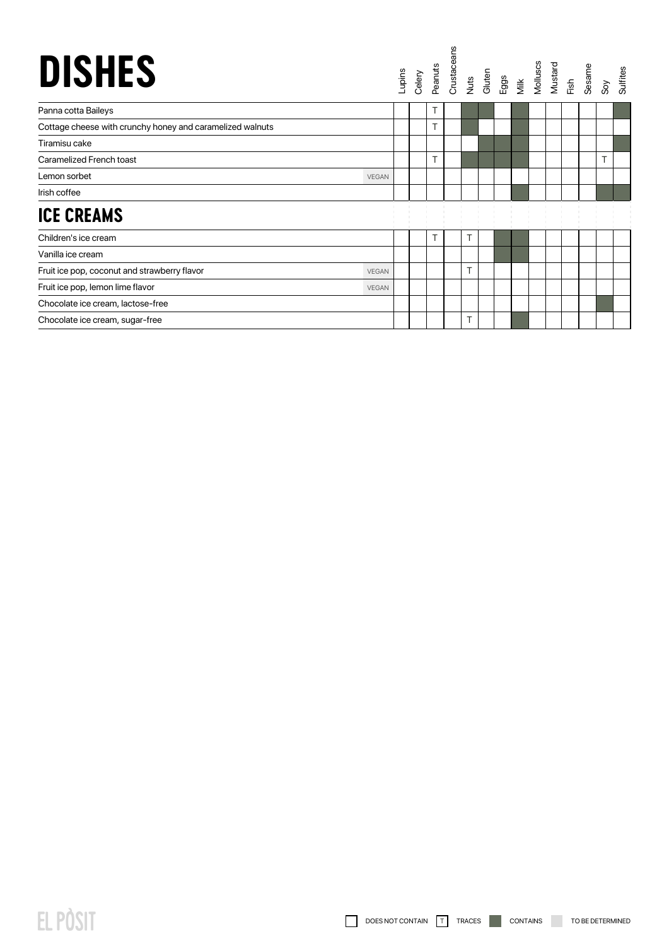| <b>DISHES</b>                                             |              | Lupins | Celery |   |   |  |  |  | Peanuts<br>Crustaceans<br>Nuts<br>Gluten<br>Milluscs<br>Mustard<br>Mustard<br>Ris, Sos Sos | <b>Sulfites</b> |
|-----------------------------------------------------------|--------------|--------|--------|---|---|--|--|--|--------------------------------------------------------------------------------------------|-----------------|
| Panna cotta Baileys                                       |              |        |        | т |   |  |  |  |                                                                                            |                 |
| Cottage cheese with crunchy honey and caramelized walnuts |              |        |        |   |   |  |  |  |                                                                                            |                 |
| Tiramisu cake                                             |              |        |        |   |   |  |  |  |                                                                                            |                 |
| Caramelized French toast                                  |              |        |        |   |   |  |  |  |                                                                                            |                 |
| Lemon sorbet                                              | <b>VEGAN</b> |        |        |   |   |  |  |  |                                                                                            |                 |
| Irish coffee                                              |              |        |        |   |   |  |  |  |                                                                                            |                 |
| <b>ICE CREAMS</b>                                         |              |        |        |   |   |  |  |  |                                                                                            |                 |
| Children's ice cream                                      |              |        |        | т | Τ |  |  |  |                                                                                            |                 |
| Vanilla ice cream                                         |              |        |        |   |   |  |  |  |                                                                                            |                 |
| Fruit ice pop, coconut and strawberry flavor              | <b>VEGAN</b> |        |        |   |   |  |  |  |                                                                                            |                 |
| Fruit ice pop, lemon lime flavor                          | <b>VEGAN</b> |        |        |   |   |  |  |  |                                                                                            |                 |
| Chocolate ice cream, lactose-free                         |              |        |        |   |   |  |  |  |                                                                                            |                 |
| Chocolate ice cream, sugar-free                           |              |        |        |   |   |  |  |  |                                                                                            |                 |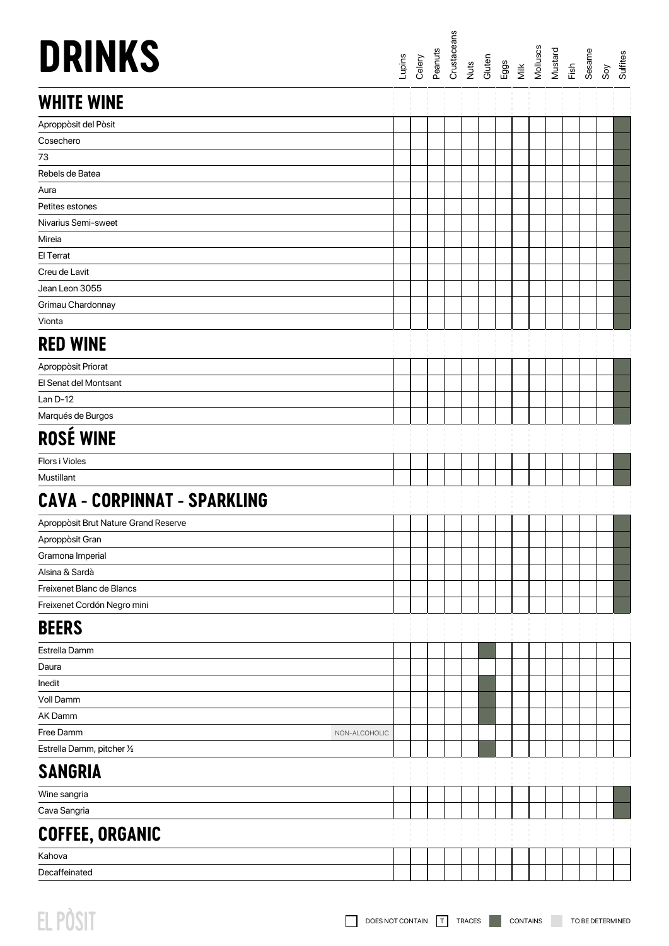| <b>DRINKS</b>                        |               | Lupins | Celery | Peanuts | Crustaceans |  | Nuts<br>Gluten<br>Eggs<br>Milk Mustard<br>Mustard<br>Mustard |  |  | Sesame | $\delta$ | Sulfites |
|--------------------------------------|---------------|--------|--------|---------|-------------|--|--------------------------------------------------------------|--|--|--------|----------|----------|
| <b>WHITE WINE</b>                    |               |        |        |         |             |  |                                                              |  |  |        |          |          |
| Aproppòsit del Pòsit                 |               |        |        |         |             |  |                                                              |  |  |        |          |          |
| Cosechero                            |               |        |        |         |             |  |                                                              |  |  |        |          |          |
| 73                                   |               |        |        |         |             |  |                                                              |  |  |        |          |          |
| Rebels de Batea                      |               |        |        |         |             |  |                                                              |  |  |        |          |          |
| Aura                                 |               |        |        |         |             |  |                                                              |  |  |        |          |          |
| Petites estones                      |               |        |        |         |             |  |                                                              |  |  |        |          |          |
| Nivarius Semi-sweet                  |               |        |        |         |             |  |                                                              |  |  |        |          |          |
| Mireia                               |               |        |        |         |             |  |                                                              |  |  |        |          |          |
| El Terrat                            |               |        |        |         |             |  |                                                              |  |  |        |          |          |
| Creu de Lavit                        |               |        |        |         |             |  |                                                              |  |  |        |          |          |
| Jean Leon 3055                       |               |        |        |         |             |  |                                                              |  |  |        |          |          |
| Grimau Chardonnay                    |               |        |        |         |             |  |                                                              |  |  |        |          |          |
| Vionta                               |               |        |        |         |             |  |                                                              |  |  |        |          |          |
| <b>RED WINE</b>                      |               |        |        |         |             |  |                                                              |  |  |        |          |          |
| Aproppòsit Priorat                   |               |        |        |         |             |  |                                                              |  |  |        |          |          |
| El Senat del Montsant                |               |        |        |         |             |  |                                                              |  |  |        |          |          |
| $Lan D-12$                           |               |        |        |         |             |  |                                                              |  |  |        |          |          |
| Marqués de Burgos                    |               |        |        |         |             |  |                                                              |  |  |        |          |          |
| <b>ROSÉ WINE</b>                     |               |        |        |         |             |  |                                                              |  |  |        |          |          |
| <b>Flors i Violes</b>                |               |        |        |         |             |  |                                                              |  |  |        |          |          |
| Mustillant                           |               |        |        |         |             |  |                                                              |  |  |        |          |          |
| <b>CAVA - CORPINNAT - SPARKLING</b>  |               |        |        |         |             |  |                                                              |  |  |        |          |          |
| Aproppòsit Brut Nature Grand Reserve |               |        |        |         |             |  |                                                              |  |  |        |          |          |
| Aproppòsit Gran                      |               |        |        |         |             |  |                                                              |  |  |        |          |          |
| Gramona Imperial                     |               |        |        |         |             |  |                                                              |  |  |        |          |          |
| Alsina & Sardà                       |               |        |        |         |             |  |                                                              |  |  |        |          |          |
| Freixenet Blanc de Blancs            |               |        |        |         |             |  |                                                              |  |  |        |          |          |
| Freixenet Cordón Negro mini          |               |        |        |         |             |  |                                                              |  |  |        |          |          |
| <b>BEERS</b>                         |               |        |        |         |             |  |                                                              |  |  |        |          |          |
| Estrella Damm                        |               |        |        |         |             |  |                                                              |  |  |        |          |          |
| Daura                                |               |        |        |         |             |  |                                                              |  |  |        |          |          |
| Inedit                               |               |        |        |         |             |  |                                                              |  |  |        |          |          |
| Voll Damm                            |               |        |        |         |             |  |                                                              |  |  |        |          |          |
| AK Damm                              |               |        |        |         |             |  |                                                              |  |  |        |          |          |
| Free Damm                            | NON-ALCOHOLIC |        |        |         |             |  |                                                              |  |  |        |          |          |
| Estrella Damm, pitcher 1/2           |               |        |        |         |             |  |                                                              |  |  |        |          |          |
| <b>SANGRIA</b>                       |               |        |        |         |             |  |                                                              |  |  |        |          |          |
| Wine sangria                         |               |        |        |         |             |  |                                                              |  |  |        |          |          |
| Cava Sangria                         |               |        |        |         |             |  |                                                              |  |  |        |          |          |
| <b>COFFEE, ORGANIC</b>               |               |        |        |         |             |  |                                                              |  |  |        |          |          |
| Kahova                               |               |        |        |         |             |  |                                                              |  |  |        |          |          |
| Decaffeinated                        |               |        |        |         |             |  |                                                              |  |  |        |          |          |
|                                      |               |        |        |         |             |  |                                                              |  |  |        |          |          |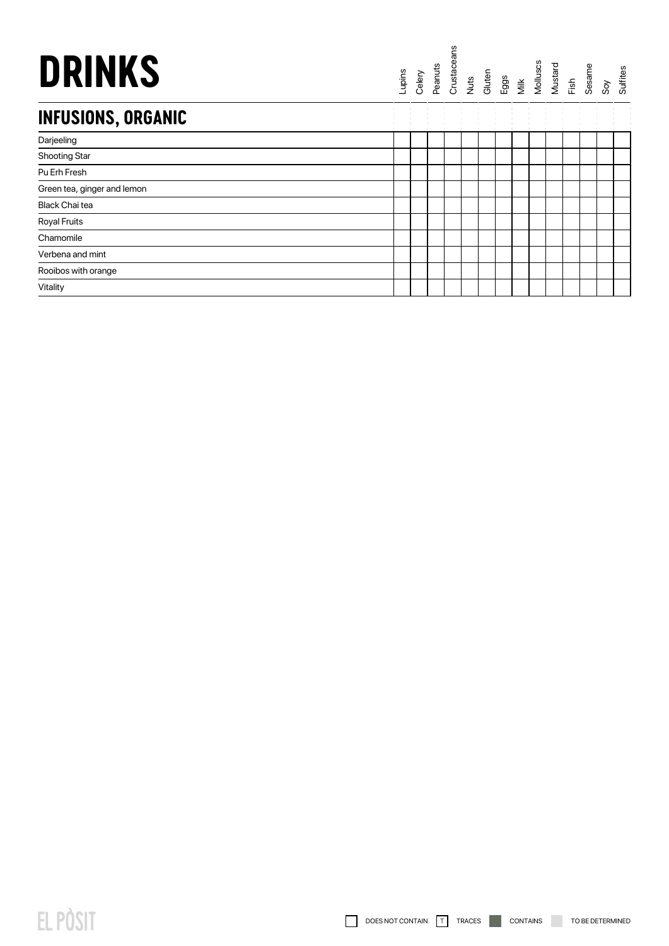## **DRINKS**

## Lupins<br>Celery<br>Peanuts<br>Crustaceans<br>Cuts Cuten<br>Milk Mustard<br>Mustard<br>Sow Souffies<br>Souffies

## **INFUSIONS, ORGANIC**